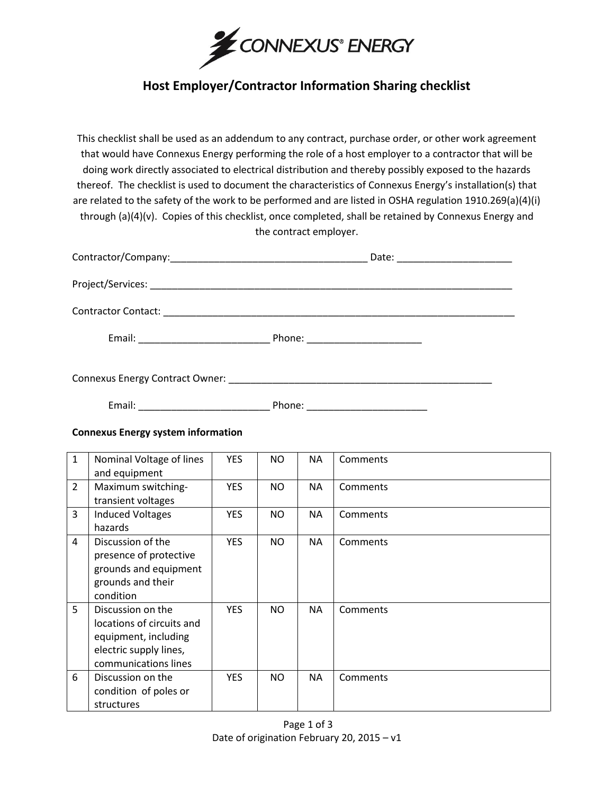

## **Host Employer/Contractor Information Sharing checklist**

This checklist shall be used as an addendum to any contract, purchase order, or other work agreement that would have Connexus Energy performing the role of a host employer to a contractor that will be doing work directly associated to electrical distribution and thereby possibly exposed to the hazards thereof. The checklist is used to document the characteristics of Connexus Energy's installation(s) that are related to the safety of the work to be performed and are listed in OSHA regulation 1910.269(a)(4)(i) through (a)(4)(v). Copies of this checklist, once completed, shall be retained by Connexus Energy and the contract employer.

|                                   | Date: ________________________ |
|-----------------------------------|--------------------------------|
|                                   |                                |
|                                   |                                |
| Phone: __________________________ |                                |
|                                   |                                |

Email: \_\_\_\_\_\_\_\_\_\_\_\_\_\_\_\_\_\_\_\_\_\_\_\_ Phone: \_\_\_\_\_\_\_\_\_\_\_\_\_\_\_\_\_\_\_\_\_\_

## **Connexus Energy system information**

| $\mathbf{1}$   | Nominal Voltage of lines<br>and equipment                                                                                | <b>YES</b> | NO.       | NA        | Comments |
|----------------|--------------------------------------------------------------------------------------------------------------------------|------------|-----------|-----------|----------|
| $\overline{2}$ | Maximum switching-<br>transient voltages                                                                                 | <b>YES</b> | NO.       | NA        | Comments |
| 3              | <b>Induced Voltages</b><br>hazards                                                                                       | <b>YES</b> | <b>NO</b> | <b>NA</b> | Comments |
| $\overline{4}$ | Discussion of the<br>presence of protective<br>grounds and equipment<br>grounds and their<br>condition                   | <b>YES</b> | NO.       | <b>NA</b> | Comments |
| 5 <sup>1</sup> | Discussion on the<br>locations of circuits and<br>equipment, including<br>electric supply lines,<br>communications lines | <b>YES</b> | NO.       | <b>NA</b> | Comments |
| 6              | Discussion on the<br>condition of poles or<br>structures                                                                 | <b>YES</b> | NO.       | NA        | Comments |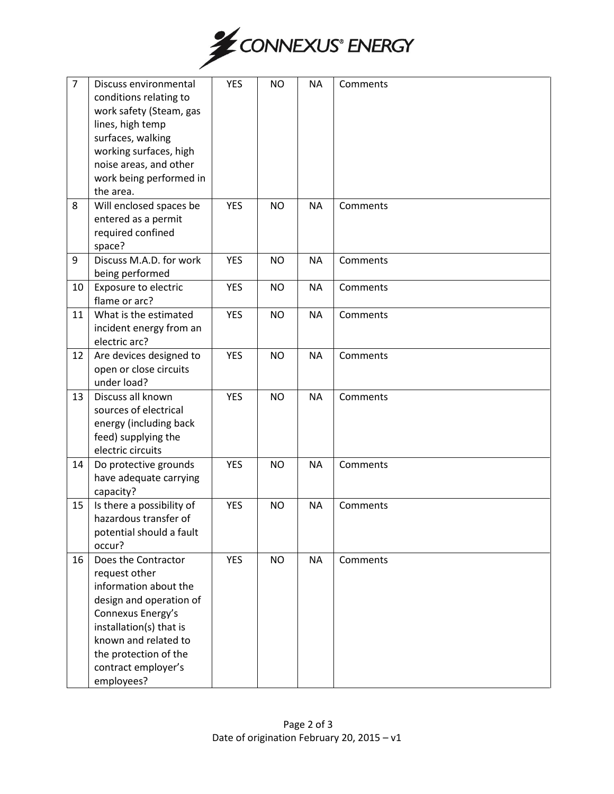

| $\overline{7}$ | Discuss environmental<br>conditions relating to<br>work safety (Steam, gas<br>lines, high temp<br>surfaces, walking<br>working surfaces, high<br>noise areas, and other<br>work being performed in<br>the area.                | <b>YES</b> | <b>NO</b> | <b>NA</b> | Comments |
|----------------|--------------------------------------------------------------------------------------------------------------------------------------------------------------------------------------------------------------------------------|------------|-----------|-----------|----------|
| 8              | Will enclosed spaces be<br>entered as a permit<br>required confined<br>space?                                                                                                                                                  | <b>YES</b> | <b>NO</b> | <b>NA</b> | Comments |
| 9              | Discuss M.A.D. for work<br>being performed                                                                                                                                                                                     | <b>YES</b> | <b>NO</b> | <b>NA</b> | Comments |
| 10             | <b>Exposure to electric</b><br>flame or arc?                                                                                                                                                                                   | <b>YES</b> | <b>NO</b> | <b>NA</b> | Comments |
| 11             | What is the estimated<br>incident energy from an<br>electric arc?                                                                                                                                                              | <b>YES</b> | <b>NO</b> | <b>NA</b> | Comments |
| 12             | Are devices designed to<br>open or close circuits<br>under load?                                                                                                                                                               | <b>YES</b> | <b>NO</b> | <b>NA</b> | Comments |
| 13             | Discuss all known<br>sources of electrical<br>energy (including back<br>feed) supplying the<br>electric circuits                                                                                                               | <b>YES</b> | <b>NO</b> | <b>NA</b> | Comments |
| 14             | Do protective grounds<br>have adequate carrying<br>capacity?                                                                                                                                                                   | <b>YES</b> | <b>NO</b> | <b>NA</b> | Comments |
| 15             | Is there a possibility of<br>hazardous transfer of<br>potential should a fault<br>occur?                                                                                                                                       | <b>YES</b> | <b>NO</b> | <b>NA</b> | Comments |
| 16             | Does the Contractor<br>request other<br>information about the<br>design and operation of<br>Connexus Energy's<br>installation(s) that is<br>known and related to<br>the protection of the<br>contract employer's<br>employees? | <b>YES</b> | <b>NO</b> | <b>NA</b> | Comments |